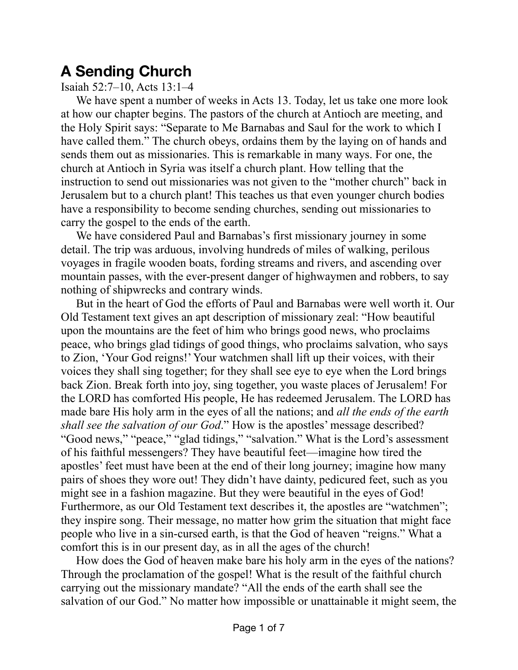## **A Sending Church**

Isaiah 52:7–10, Acts 13:1–4

We have spent a number of weeks in Acts 13. Today, let us take one more look at how our chapter begins. The pastors of the church at Antioch are meeting, and the Holy Spirit says: "Separate to Me Barnabas and Saul for the work to which I have called them." The church obeys, ordains them by the laying on of hands and sends them out as missionaries. This is remarkable in many ways. For one, the church at Antioch in Syria was itself a church plant. How telling that the instruction to send out missionaries was not given to the "mother church" back in Jerusalem but to a church plant! This teaches us that even younger church bodies have a responsibility to become sending churches, sending out missionaries to carry the gospel to the ends of the earth.

We have considered Paul and Barnabas's first missionary journey in some detail. The trip was arduous, involving hundreds of miles of walking, perilous voyages in fragile wooden boats, fording streams and rivers, and ascending over mountain passes, with the ever-present danger of highwaymen and robbers, to say nothing of shipwrecks and contrary winds.

But in the heart of God the efforts of Paul and Barnabas were well worth it. Our Old Testament text gives an apt description of missionary zeal: "How beautiful upon the mountains are the feet of him who brings good news, who proclaims peace, who brings glad tidings of good things, who proclaims salvation, who says to Zion, 'Your God reigns!' Your watchmen shall lift up their voices, with their voices they shall sing together; for they shall see eye to eye when the Lord brings back Zion. Break forth into joy, sing together, you waste places of Jerusalem! For the LORD has comforted His people, He has redeemed Jerusalem. The LORD has made bare His holy arm in the eyes of all the nations; and *all the ends of the earth shall see the salvation of our God*." How is the apostles' message described? "Good news," "peace," "glad tidings," "salvation." What is the Lord's assessment of his faithful messengers? They have beautiful feet—imagine how tired the apostles' feet must have been at the end of their long journey; imagine how many pairs of shoes they wore out! They didn't have dainty, pedicured feet, such as you might see in a fashion magazine. But they were beautiful in the eyes of God! Furthermore, as our Old Testament text describes it, the apostles are "watchmen"; they inspire song. Their message, no matter how grim the situation that might face people who live in a sin-cursed earth, is that the God of heaven "reigns." What a comfort this is in our present day, as in all the ages of the church!

How does the God of heaven make bare his holy arm in the eyes of the nations? Through the proclamation of the gospel! What is the result of the faithful church carrying out the missionary mandate? "All the ends of the earth shall see the salvation of our God." No matter how impossible or unattainable it might seem, the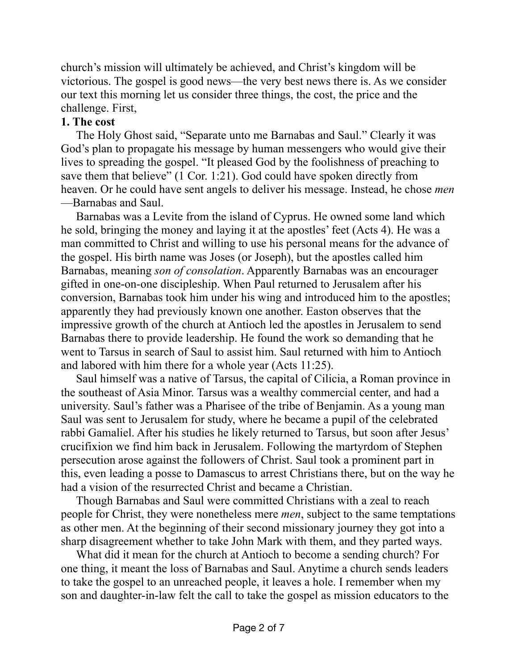church's mission will ultimately be achieved, and Christ's kingdom will be victorious. The gospel is good news—the very best news there is. As we consider our text this morning let us consider three things, the cost, the price and the challenge. First,

## **1. The cost**

The Holy Ghost said, "Separate unto me Barnabas and Saul." Clearly it was God's plan to propagate his message by human messengers who would give their lives to spreading the gospel. "It pleased God by the foolishness of preaching to save them that believe" (1 Cor. 1:21). God could have spoken directly from heaven. Or he could have sent angels to deliver his message. Instead, he chose *men* —Barnabas and Saul.

Barnabas was a Levite from the island of Cyprus. He owned some land which he sold, bringing the money and laying it at the apostles' feet (Acts 4). He was a man committed to Christ and willing to use his personal means for the advance of the gospel. His birth name was Joses (or Joseph), but the apostles called him Barnabas, meaning *son of consolation*. Apparently Barnabas was an encourager gifted in one-on-one discipleship. When Paul returned to Jerusalem after his conversion, Barnabas took him under his wing and introduced him to the apostles; apparently they had previously known one another. Easton observes that the impressive growth of the church at Antioch led the apostles in Jerusalem to send Barnabas there to provide leadership. He found the work so demanding that he went to Tarsus in search of Saul to assist him. Saul returned with him to Antioch and labored with him there for a whole year (Acts 11:25).

Saul himself was a native of Tarsus, the capital of Cilicia, a Roman province in the southeast of Asia Minor. Tarsus was a wealthy commercial center, and had a university. Saul's father was a Pharisee of the tribe of Benjamin. As a young man Saul was sent to Jerusalem for study, where he became a pupil of the celebrated rabbi Gamaliel. After his studies he likely returned to Tarsus, but soon after Jesus' crucifixion we find him back in Jerusalem. Following the martyrdom of Stephen persecution arose against the followers of Christ. Saul took a prominent part in this, even leading a posse to Damascus to arrest Christians there, but on the way he had a vision of the resurrected Christ and became a Christian.

Though Barnabas and Saul were committed Christians with a zeal to reach people for Christ, they were nonetheless mere *men*, subject to the same temptations as other men. At the beginning of their second missionary journey they got into a sharp disagreement whether to take John Mark with them, and they parted ways.

What did it mean for the church at Antioch to become a sending church? For one thing, it meant the loss of Barnabas and Saul. Anytime a church sends leaders to take the gospel to an unreached people, it leaves a hole. I remember when my son and daughter-in-law felt the call to take the gospel as mission educators to the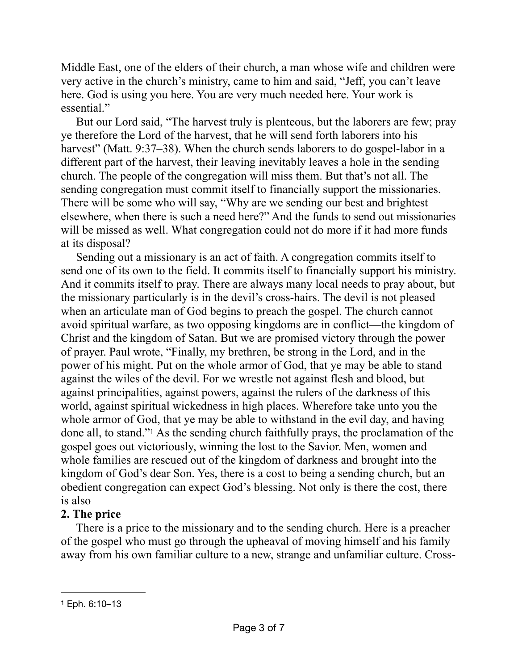Middle East, one of the elders of their church, a man whose wife and children were very active in the church's ministry, came to him and said, "Jeff, you can't leave here. God is using you here. You are very much needed here. Your work is essential."

But our Lord said, "The harvest truly is plenteous, but the laborers are few; pray ye therefore the Lord of the harvest, that he will send forth laborers into his harvest" (Matt. 9:37–38). When the church sends laborers to do gospel-labor in a different part of the harvest, their leaving inevitably leaves a hole in the sending church. The people of the congregation will miss them. But that's not all. The sending congregation must commit itself to financially support the missionaries. There will be some who will say, "Why are we sending our best and brightest elsewhere, when there is such a need here?" And the funds to send out missionaries will be missed as well. What congregation could not do more if it had more funds at its disposal?

Sending out a missionary is an act of faith. A congregation commits itself to send one of its own to the field. It commits itself to financially support his ministry. And it commits itself to pray. There are always many local needs to pray about, but the missionary particularly is in the devil's cross-hairs. The devil is not pleased when an articulate man of God begins to preach the gospel. The church cannot avoid spiritual warfare, as two opposing kingdoms are in conflict—the kingdom of Christ and the kingdom of Satan. But we are promised victory through the power of prayer. Paul wrote, "Finally, my brethren, be strong in the Lord, and in the power of his might. Put on the whole armor of God, that ye may be able to stand against the wiles of the devil. For we wrestle not against flesh and blood, but against principalities, against powers, against the rulers of the darkness of this world, against spiritual wickedness in high places. Wherefore take unto you the whole armor of God, that ye may be able to withstand in the evil day, and having done all, to stand.["](#page-2-0)<sup>[1](#page-2-0)</sup> As the sending church faithfully prays, the proclamation of the gospel goes out victoriously, winning the lost to the Savior. Men, women and whole families are rescued out of the kingdom of darkness and brought into the kingdom of God's dear Son. Yes, there is a cost to being a sending church, but an obedient congregation can expect God's blessing. Not only is there the cost, there is also

## <span id="page-2-1"></span>**2. The price**

There is a price to the missionary and to the sending church. Here is a preacher of the gospel who must go through the upheaval of moving himself and his family away from his own familiar culture to a new, strange and unfamiliar culture. Cross-

<span id="page-2-0"></span>[<sup>1</sup>](#page-2-1) Eph. 6:10–13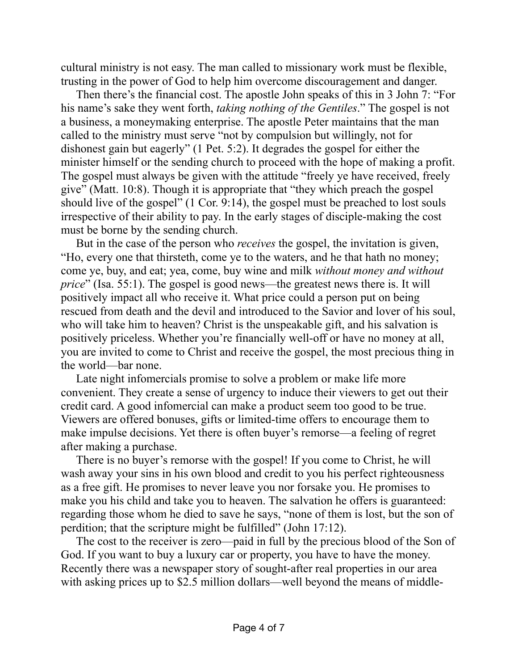cultural ministry is not easy. The man called to missionary work must be flexible, trusting in the power of God to help him overcome discouragement and danger.

Then there's the financial cost. The apostle John speaks of this in 3 John 7: "For his name's sake they went forth, *taking nothing of the Gentiles*." The gospel is not a business, a moneymaking enterprise. The apostle Peter maintains that the man called to the ministry must serve "not by compulsion but willingly, not for dishonest gain but eagerly" (1 Pet. 5:2). It degrades the gospel for either the minister himself or the sending church to proceed with the hope of making a profit. The gospel must always be given with the attitude "freely ye have received, freely give" (Matt. 10:8). Though it is appropriate that "they which preach the gospel should live of the gospel" (1 Cor. 9:14), the gospel must be preached to lost souls irrespective of their ability to pay. In the early stages of disciple-making the cost must be borne by the sending church.

But in the case of the person who *receives* the gospel, the invitation is given, "Ho, every one that thirsteth, come ye to the waters, and he that hath no money; come ye, buy, and eat; yea, come, buy wine and milk *without money and without price*" (Isa. 55:1). The gospel is good news—the greatest news there is. It will positively impact all who receive it. What price could a person put on being rescued from death and the devil and introduced to the Savior and lover of his soul, who will take him to heaven? Christ is the unspeakable gift, and his salvation is positively priceless. Whether you're financially well-off or have no money at all, you are invited to come to Christ and receive the gospel, the most precious thing in the world—bar none.

Late night infomercials promise to solve a problem or make life more convenient. They create a sense of urgency to induce their viewers to get out their credit card. A good infomercial can make a product seem too good to be true. Viewers are offered bonuses, gifts or limited-time offers to encourage them to make impulse decisions. Yet there is often buyer's remorse—a feeling of regret after making a purchase.

There is no buyer's remorse with the gospel! If you come to Christ, he will wash away your sins in his own blood and credit to you his perfect righteousness as a free gift. He promises to never leave you nor forsake you. He promises to make you his child and take you to heaven. The salvation he offers is guaranteed: regarding those whom he died to save he says, "none of them is lost, but the son of perdition; that the scripture might be fulfilled" (John 17:12).

The cost to the receiver is zero—paid in full by the precious blood of the Son of God. If you want to buy a luxury car or property, you have to have the money. Recently there was a newspaper story of sought-after real properties in our area with asking prices up to \$2.5 million dollars—well beyond the means of middle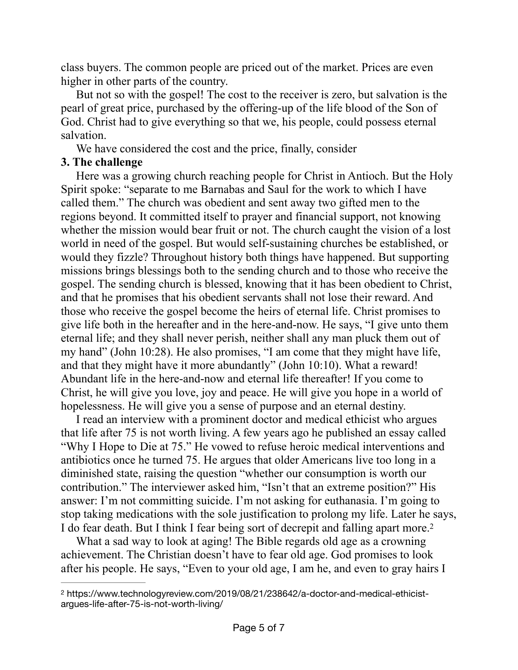class buyers. The common people are priced out of the market. Prices are even higher in other parts of the country.

But not so with the gospel! The cost to the receiver is zero, but salvation is the pearl of great price, purchased by the offering-up of the life blood of the Son of God. Christ had to give everything so that we, his people, could possess eternal salvation.

We have considered the cost and the price, finally, consider

## **3. The challenge**

Here was a growing church reaching people for Christ in Antioch. But the Holy Spirit spoke: "separate to me Barnabas and Saul for the work to which I have called them." The church was obedient and sent away two gifted men to the regions beyond. It committed itself to prayer and financial support, not knowing whether the mission would bear fruit or not. The church caught the vision of a lost world in need of the gospel. But would self-sustaining churches be established, or would they fizzle? Throughout history both things have happened. But supporting missions brings blessings both to the sending church and to those who receive the gospel. The sending church is blessed, knowing that it has been obedient to Christ, and that he promises that his obedient servants shall not lose their reward. And those who receive the gospel become the heirs of eternal life. Christ promises to give life both in the hereafter and in the here-and-now. He says, "I give unto them eternal life; and they shall never perish, neither shall any man pluck them out of my hand" (John 10:28). He also promises, "I am come that they might have life, and that they might have it more abundantly" (John 10:10). What a reward! Abundant life in the here-and-now and eternal life thereafter! If you come to Christ, he will give you love, joy and peace. He will give you hope in a world of hopelessness. He will give you a sense of purpose and an eternal destiny.

I read an interview with a prominent doctor and medical ethicist who argues that life after 75 is not worth living. A few years ago he published an essay called "Why I Hope to Die at 75." He vowed to refuse heroic medical interventions and antibiotics once he turned 75. He argues that older Americans live too long in a diminished state, raising the question "whether our consumption is worth our contribution." The interviewer asked him, "Isn't that an extreme position?" His answer: I'm not committing suicide. I'm not asking for euthanasia. I'm going to stop taking medications with the sole justification to prolong my life. Later he says, I do fear death. But I think I fear being sort of decrepit and falling apart more[.2](#page-4-0)

<span id="page-4-1"></span>What a sad way to look at aging! The Bible regards old age as a crowning achievement. The Christian doesn't have to fear old age. God promises to look after his people. He says, "Even to your old age, I am he, and even to gray hairs I

<span id="page-4-0"></span>https://www.technologyreview.com/2019/08/21/238642/a-doctor-and-medical-ethicist- [2](#page-4-1) argues-life-after-75-is-not-worth-living/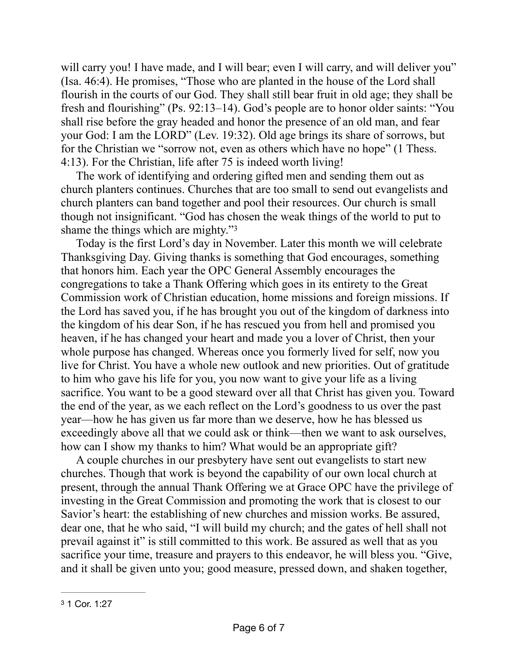will carry you! I have made, and I will bear; even I will carry, and will deliver you" (Isa. 46:4). He promises, "Those who are planted in the house of the Lord shall flourish in the courts of our God. They shall still bear fruit in old age; they shall be fresh and flourishing" (Ps. 92:13–14). God's people are to honor older saints: "You shall rise before the gray headed and honor the presence of an old man, and fear your God: I am the LORD" (Lev. 19:32). Old age brings its share of sorrows, but for the Christian we "sorrow not, even as others which have no hope" (1 Thess. 4:13). For the Christian, life after 75 is indeed worth living!

The work of identifying and ordering gifted men and sending them out as church planters continues. Churches that are too small to send out evangelists and church planters can band together and pool their resources. Our church is small though not insignificant. "God has chosen the weak things of the world to put to shame the things which are mighty.["3](#page-5-0)

<span id="page-5-1"></span>Today is the first Lord's day in November. Later this month we will celebrate Thanksgiving Day. Giving thanks is something that God encourages, something that honors him. Each year the OPC General Assembly encourages the congregations to take a Thank Offering which goes in its entirety to the Great Commission work of Christian education, home missions and foreign missions. If the Lord has saved you, if he has brought you out of the kingdom of darkness into the kingdom of his dear Son, if he has rescued you from hell and promised you heaven, if he has changed your heart and made you a lover of Christ, then your whole purpose has changed. Whereas once you formerly lived for self, now you live for Christ. You have a whole new outlook and new priorities. Out of gratitude to him who gave his life for you, you now want to give your life as a living sacrifice. You want to be a good steward over all that Christ has given you. Toward the end of the year, as we each reflect on the Lord's goodness to us over the past year—how he has given us far more than we deserve, how he has blessed us exceedingly above all that we could ask or think—then we want to ask ourselves, how can I show my thanks to him? What would be an appropriate gift?

A couple churches in our presbytery have sent out evangelists to start new churches. Though that work is beyond the capability of our own local church at present, through the annual Thank Offering we at Grace OPC have the privilege of investing in the Great Commission and promoting the work that is closest to our Savior's heart: the establishing of new churches and mission works. Be assured, dear one, that he who said, "I will build my church; and the gates of hell shall not prevail against it" is still committed to this work. Be assured as well that as you sacrifice your time, treasure and prayers to this endeavor, he will bless you. "Give, and it shall be given unto you; good measure, pressed down, and shaken together,

<span id="page-5-0"></span>[<sup>3</sup>](#page-5-1) 1 Cor. 1:27